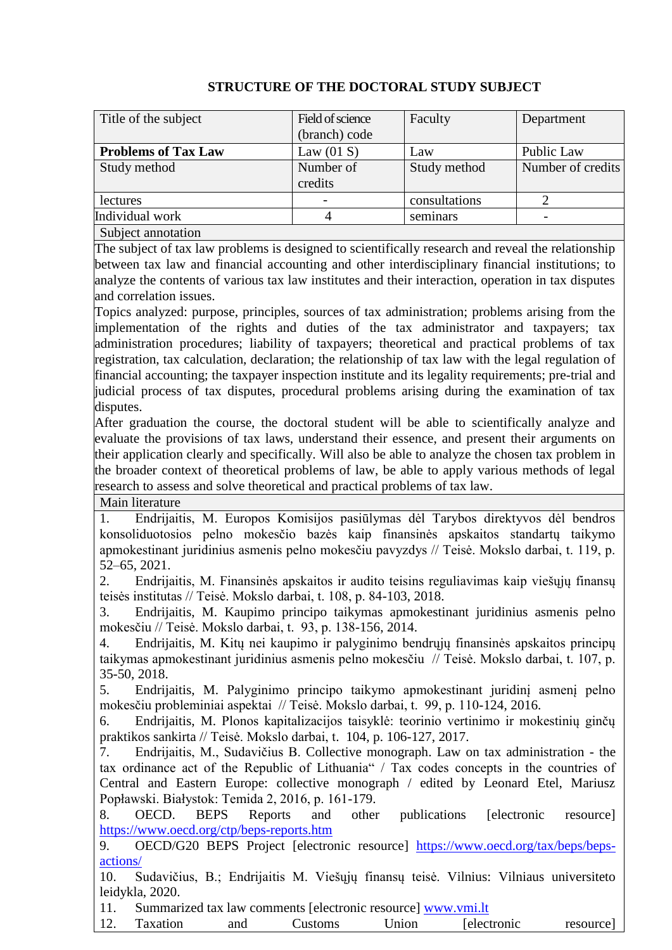|                            | Field of science |               |                   |
|----------------------------|------------------|---------------|-------------------|
| Title of the subject       |                  | Faculty       | Department        |
|                            | (branch) code    |               |                   |
| <b>Problems of Tax Law</b> | Law $(01 S)$     | Law           | Public Law        |
| Study method               | Number of        | Study method  | Number of credits |
|                            | credits          |               |                   |
| lectures                   |                  | consultations |                   |
| Individual work            |                  | seminars      |                   |
| Subject annotation         |                  |               |                   |

## **STRUCTURE OF THE DOCTORAL STUDY SUBJECT**

The subject of tax law problems is designed to scientifically research and reveal the relationship between tax law and financial accounting and other interdisciplinary financial institutions; to analyze the contents of various tax law institutes and their interaction, operation in tax disputes and correlation issues.

Topics analyzed: purpose, principles, sources of tax administration; problems arising from the implementation of the rights and duties of the tax administrator and taxpayers; tax administration procedures; liability of taxpayers; theoretical and practical problems of tax registration, tax calculation, declaration; the relationship of tax law with the legal regulation of financial accounting; the taxpayer inspection institute and its legality requirements; pre-trial and judicial process of tax disputes, procedural problems arising during the examination of tax disputes.

After graduation the course, the doctoral student will be able to scientifically analyze and evaluate the provisions of tax laws, understand their essence, and present their arguments on their application clearly and specifically. Will also be able to analyze the chosen tax problem in the broader context of theoretical problems of law, be able to apply various methods of legal research to assess and solve theoretical and practical problems of tax law.

Main literature

1. Endrijaitis, M. Europos Komisijos pasiūlymas dėl Tarybos direktyvos dėl bendros konsoliduotosios pelno mokesčio bazės kaip finansinės apskaitos standartų taikymo apmokestinant juridinius asmenis pelno mokesčiu pavyzdys // Teisė. Mokslo darbai, t. 119, p. 52–65, 2021.

2. Endrijaitis, M. Finansinės apskaitos ir audito teisins reguliavimas kaip viešųjų finansų teisės institutas // Teisė. Mokslo darbai, t. 108, p. 84-103, 2018.

3. Endrijaitis, M. Kaupimo principo taikymas apmokestinant juridinius asmenis pelno mokesčiu // Teisė. Mokslo darbai, t. 93, p. 138-156, 2014.

4. Endrijaitis, M. Kitų nei kaupimo ir palyginimo bendrųjų finansinės apskaitos principų taikymas apmokestinant juridinius asmenis pelno mokesčiu // Teisė. Mokslo darbai, t. 107, p. 35-50, 2018.

5. Endrijaitis, M. Palyginimo principo taikymo apmokestinant juridinį asmenį pelno mokesčiu probleminiai aspektai // Teisė. Mokslo darbai, t. 99, p. 110-124, 2016.

6. Endrijaitis, M. Plonos kapitalizacijos taisyklė: teorinio vertinimo ir mokestinių ginčų praktikos sankirta // Teisė. Mokslo darbai, t. 104, p. 106-127, 2017.

7. Endrijaitis, M., Sudavičius B. Collective monograph. Law on tax administration - the tax ordinance act of the Republic of Lithuania" / Tax codes concepts in the countries of Central and Eastern Europe: collective monograph / edited by Leonard Etel, Mariusz Popławski. Białystok: Temida 2, 2016, p. 161-179.

8. OECD. BEPS Reports and other publications [electronic resource] <https://www.oecd.org/ctp/beps-reports.htm>

9. OECD/G20 BEPS Project [electronic resource] [https://www.oecd.org/tax/beps/beps](https://www.oecd.org/tax/beps/beps-actions/)[actions/](https://www.oecd.org/tax/beps/beps-actions/)

10. Sudavičius, B.; Endrijaitis M. Viešųjų finansų teisė. Vilnius: Vilniaus universiteto leidykla, 2020.

11. Summarized tax law comments [electronic resource] [www.vmi.lt](http://www.vmi.lt/)

12. Taxation and Customs Union [electronic resource]